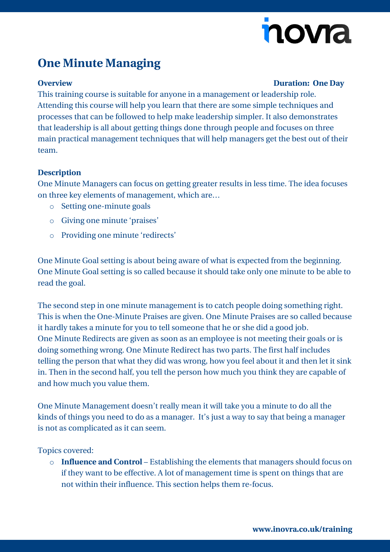# nova

## **One Minute Managing**

#### **Overview Duration: One Day**

This training course is suitable for anyone in a management or leadership role. Attending this course will help you learn that there are some simple techniques and processes that can be followed to help make leadership simpler. It also demonstrates that leadership is all about getting things done through people and focuses on three main practical management techniques that will help managers get the best out of their team.

#### **Description**

One Minute Managers can focus on getting greater results in less time. The idea focuses on three key elements of management, which are…

- o Setting one-minute goals
- o Giving one minute 'praises'
- o Providing one minute 'redirects'

One Minute Goal setting is about being aware of what is expected from the beginning. One Minute Goal setting is so called because it should take only one minute to be able to read the goal.

The second step in one minute management is to catch people doing something right. This is when the One-Minute Praises are given. One Minute Praises are so called because it hardly takes a minute for you to tell someone that he or she did a good job. One Minute Redirects are given as soon as an employee is not meeting their goals or is doing something wrong. One Minute Redirect has two parts. The first half includes telling the person that what they did was wrong, how you feel about it and then let it sink in. Then in the second half, you tell the person how much you think they are capable of and how much you value them.

One Minute Management doesn't really mean it will take you a minute to do all the kinds of things you need to do as a manager. It's just a way to say that being a manager is not as complicated as it can seem.

Topics covered:

o **Influence and Control** – Establishing the elements that managers should focus on if they want to be effective. A lot of management time is spent on things that are not within their influence. This section helps them re-focus.